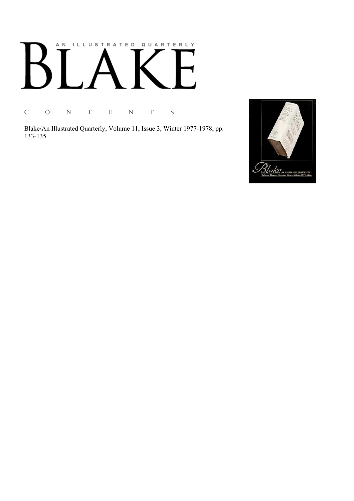# AN ILLUSTRATED QUARTERLY

C O N T E N T S

Blake/An Illustrated Quarterly, Volume 11, Issue 3, Winter 1977-1978, pp. 133-135

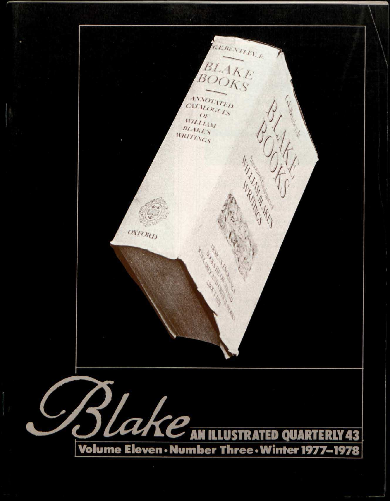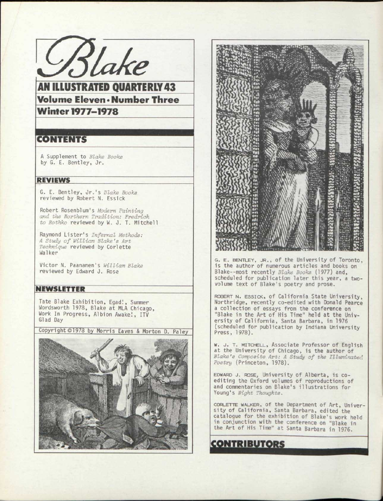

AN ILLUSTRATED QUARTERLY 43 Volume Eleven >Number Three Winter 1977-1978

# CONTENTS

A Supplement to *Blake Books*  by G. E. Bentley, Jr.

### REVIEWS

G. E. Bentley, Jr.' s *Blake Books*  reviewed by Robert N. Essick

Robert Rosenblurn's *Modern Painting and the Northern Tradition: Fredrioh to Rothko* reviewed by W. J. T. Mitchell

Raymond Lister's *Infernal Methods: A Study of William Blake's Art Technique* reviewed by Corlette Walker

Victor N. Paananen's *William Blake*  reviewed by Edward J. Rose

### NEWSLETTER

Tate Blake Exhibition, Egad!, Summer Wordsworth 1978, Blake at MLA Chicago, Work In Progress, Albion Awake!, ITV Glad Day

Copyright ©1978 by Morris Eaves & Morton D. Pa1ey~





G. E. BENTLEY, JR., of the University of Toronto, is the author of numerous articles and books on Blake--most recently Blake Books (1977) and, scheduled for publication later this year, a twovolume text of Blake's poetry and prose.

ROBERT N. ESSICK, of California State University, Northridge, recently co-edited with Donald Pearce a collection of essays from the conference on "Blake in the Art of His Time" held at the University of California, Santa Barbara, in 1976 (scheduled for publication by Indiana University Press, 1978).

W. J. T. MITCHELL, Associate Professor of English at the University of Chicago, is the author of Blake's Composite Art: A Study of the Illuminated Poetry (Princeton, 1978).

EDWARD J. ROSE, University of Alberta, is coediting the Oxford volumes of reproductions of<br>and commentaries on Blake's illustrations for Young's Night Thoughts.

CORLETTE WALKER, of the Department of Art, Univer-<br>sity of California, Santa Barbara, edited the catalogue for the exhibition of Blake's work held in conjunction with the conference on "Blake in the Art of His Time" at Santa Barbara in 1976.